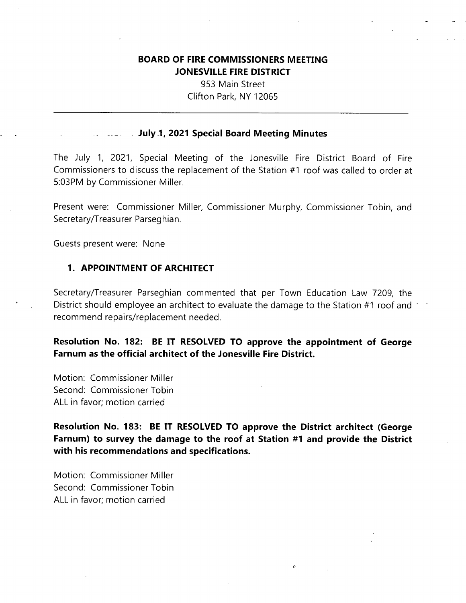# **BOARD OF FIRE COMMISSIONERS MEETING JONESVILLE FIRE DISTRICT**

953 Main Street Clifton Park, NY 12065

#### **July .1, 2021 Special Board Meeting Minutes**

The July 1, 2021, Special Meeting of the Jonesville Fire District Board of Fire Commissioners to discuss the replacement of the Station #1 roof was called to order at 5:03PM by Commissioner Miller.

Present were: Commissioner Miller, Commissioner Murphy, Commissioner Tobin, and Secretary/Treasurer Parseghian.

Guests present were: None

#### **1. APPOINTMENT OF ARCHITECT**

Secretary/Treasurer Parseghian commented that per Town Education Law 7209, the District should employee an architect to evaluate the damage to the Station #1 roof and recommend repairs/replacement needed.

**Resolution No. 182: BE IT RESOLVED TO approve the appointment of George Farnum as the official architect of the Jonesville Fire District.**

Motion: Commissioner Miller Second: Commissioner Tobin ALL in favor; motion carried

**Resolution No. 183: BE IT RESOLVED TO approve the District architect (George Farnum) to survey the damage to the roof at Station #1 and provide the District with his recommendations and specifications.**

Motion: Commissioner Miller Second: Commissioner Tobin ALL in favor; motion carried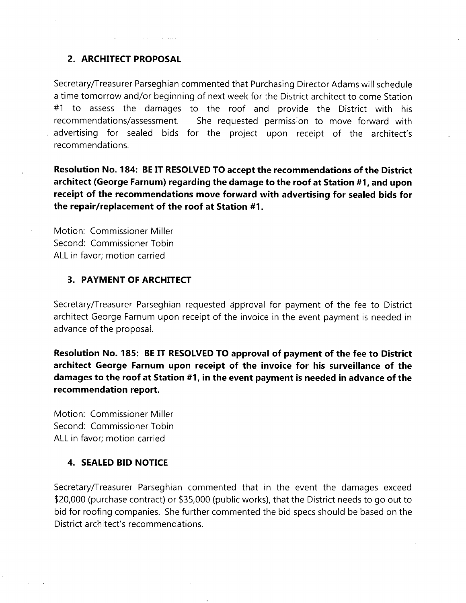## **2. ARCHITECT PROPOSAL**

Secretary/Treasurer Parseghian commented that Purchasing Director Adams will schedule <sup>a</sup> time tomorrow and/or beginning of next week for the District architect to come Station #1 to assess the damages to the roof and provide the District with his recommendations/assessment, advertising for sealed bids for the project upon receipt of. the architect's recommendations. She requested permission to move forward with

**Resolution No. 184: BE IT RESOLVED TO accept the recommendations of the District architect (George Farnum) regarding the damage to the roof at Station #11 and upon receipt of the recommendations move forward with advertising for sealed bids for the repair/replacement of the roof at Station #1**.

Motion: Commissioner Miller Second: Commissioner Tobin ALL in favor; motion carried

## **3. PAYMENT OF ARCHITECT**

Secretary/Treasurer Parseghian requested approval for payment of the fee to District architect George Farnum upon receipt of the invoice in the event payment is needed in advance of the proposal.

**Resolution No. 185: BE IT RESOLVED TO approval of payment of the fee to District architect George Farnum upon receipt of the invoice for his surveillance of the damages to the roof at Station #1, in the event payment is needed in advance of the recommendation report.**

Motion: Commissioner Miller Second: Commissioner Tobin ALL in favor; motion carried

# **4. SEALED BID NOTICE**

Secretary/Treasurer Parseghian commented that in the event the damages exceed \$20,000 (purchase contract) or \$35,000 (public works), that the District needs to go out to bid for roofing companies. She further commented the bid specs should be based on the District architect's recommendations.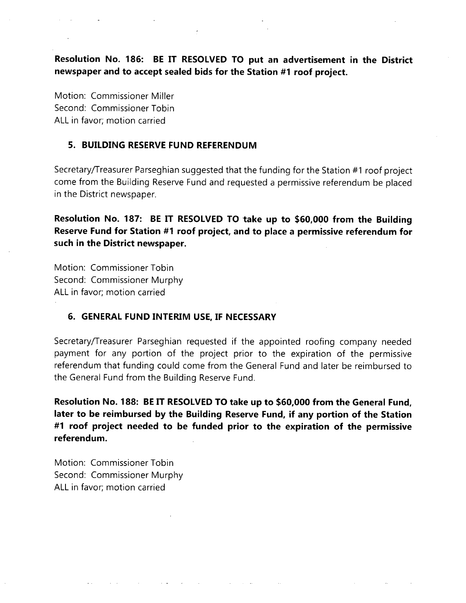**Resolution No. 186: BE IT RESOLVED TO put an advertisement in the District newspaper and to accept sealed bids for the Station #1 roof project.**

Motion: Commissioner Miller Second: Commissioner Tobin ALL in favor; motion carried

# **5. BUILDING RESERVE FUND REFERENDUM**

Secretary/Treasurer Parseghian suggested that the funding for the Station #1 roof project come from the Building Reserve Fund and requested a permissive referendum be placed in the District newspaper.

**Resolution No. 187: BE IT RESOLVED TO take up to \$60,000 from the Building Reserve Fund for Station #1 roof project, and to place a permissive referendum for such in the District newspaper.**

Motion: Commissioner Tobin Second: Commissioner Murphy ALL in favor; motion carried

# **6. GENERAL FUND INTERIM USE, IF NECESSARY**

Secretary/Treasurer Parseghian requested if the appointed roofing company needed payment for any portion of the project prior to the expiration of the permissive referendum that funding could come from the General Fund and later be reimbursed to the General Fund from the Building Reserve Fund.

**Resolution No. 188: BE IT RESOLVED TO take up to \$60,000 from the General Fund, later to be reimbursed by the Building Reserve Fund, if any portion of the Station #1 roof project needed to be funded prior to the expiration of the permissive referendum.**

Motion: Commissioner Tobin Second: Commissioner Murphy ALL in favor; motion carried